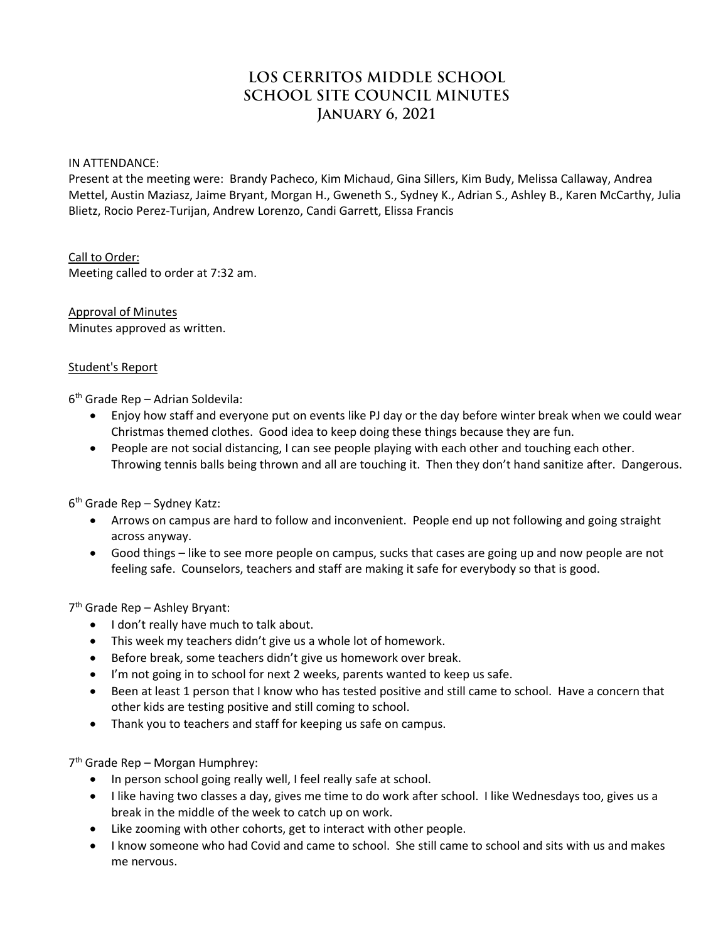# **LOS CERRITOS MIDDLE SCHOOL SCHOOL SITE COUNCIL MINUTES January 6, 2021**

#### IN ATTENDANCE:

Present at the meeting were: Brandy Pacheco, Kim Michaud, Gina Sillers, Kim Budy, Melissa Callaway, Andrea Mettel, Austin Maziasz, Jaime Bryant, Morgan H., Gweneth S., Sydney K., Adrian S., Ashley B., Karen McCarthy, Julia Blietz, Rocio Perez-Turijan, Andrew Lorenzo, Candi Garrett, Elissa Francis

Call to Order: Meeting called to order at 7:32 am.

Approval of Minutes Minutes approved as written.

#### Student's Report

6th Grade Rep – Adrian Soldevila:

- Enjoy how staff and everyone put on events like PJ day or the day before winter break when we could wear Christmas themed clothes. Good idea to keep doing these things because they are fun.
- People are not social distancing, I can see people playing with each other and touching each other. Throwing tennis balls being thrown and all are touching it. Then they don't hand sanitize after. Dangerous.

6th Grade Rep – Sydney Katz:

- Arrows on campus are hard to follow and inconvenient. People end up not following and going straight across anyway.
- Good things like to see more people on campus, sucks that cases are going up and now people are not feeling safe. Counselors, teachers and staff are making it safe for everybody so that is good.

7th Grade Rep – Ashley Bryant:

- I don't really have much to talk about.
- This week my teachers didn't give us a whole lot of homework.
- Before break, some teachers didn't give us homework over break.
- I'm not going in to school for next 2 weeks, parents wanted to keep us safe.
- Been at least 1 person that I know who has tested positive and still came to school. Have a concern that other kids are testing positive and still coming to school.
- Thank you to teachers and staff for keeping us safe on campus.

7th Grade Rep – Morgan Humphrey:

- In person school going really well, I feel really safe at school.
- I like having two classes a day, gives me time to do work after school. I like Wednesdays too, gives us a break in the middle of the week to catch up on work.
- Like zooming with other cohorts, get to interact with other people.
- I know someone who had Covid and came to school. She still came to school and sits with us and makes me nervous.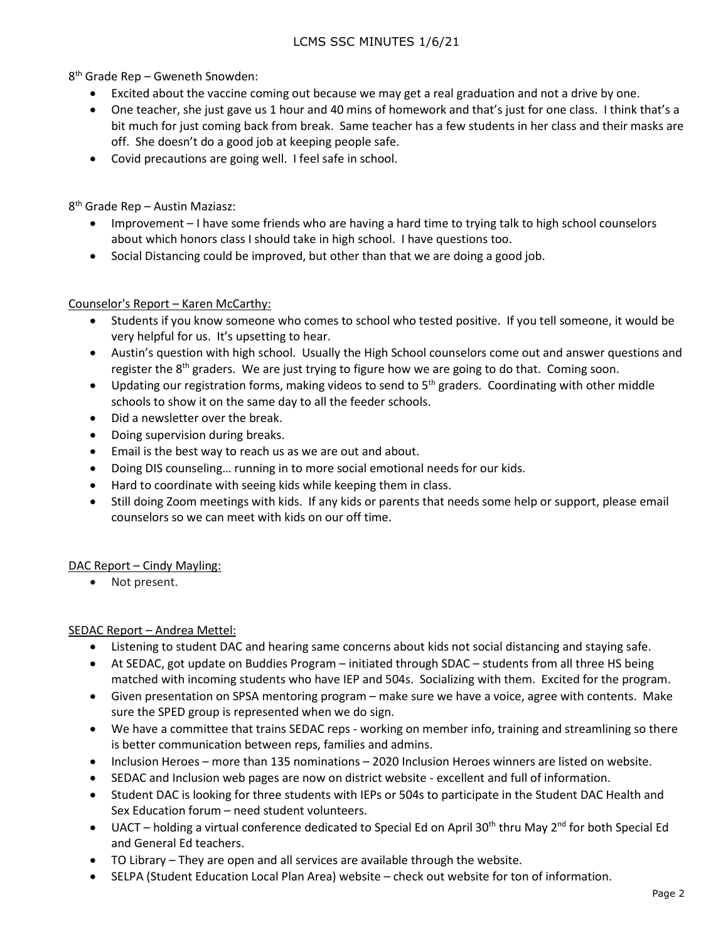8th Grade Rep – Gweneth Snowden:

- Excited about the vaccine coming out because we may get a real graduation and not a drive by one.
- One teacher, she just gave us 1 hour and 40 mins of homework and that's just for one class. I think that's a bit much for just coming back from break. Same teacher has a few students in her class and their masks are off. She doesn't do a good job at keeping people safe.
- Covid precautions are going well. I feel safe in school.

8th Grade Rep – Austin Maziasz:

- Improvement I have some friends who are having a hard time to trying talk to high school counselors about which honors class I should take in high school. I have questions too.
- Social Distancing could be improved, but other than that we are doing a good job.

## Counselor's Report – Karen McCarthy:

- Students if you know someone who comes to school who tested positive. If you tell someone, it would be very helpful for us. It's upsetting to hear.
- Austin's question with high school. Usually the High School counselors come out and answer questions and register the  $8<sup>th</sup>$  graders. We are just trying to figure how we are going to do that. Coming soon.
- Updating our registration forms, making videos to send to  $5<sup>th</sup>$  graders. Coordinating with other middle schools to show it on the same day to all the feeder schools.
- Did a newsletter over the break.
- Doing supervision during breaks.
- Email is the best way to reach us as we are out and about.
- Doing DIS counseling… running in to more social emotional needs for our kids.
- Hard to coordinate with seeing kids while keeping them in class.
- Still doing Zoom meetings with kids. If any kids or parents that needs some help or support, please email counselors so we can meet with kids on our off time.

# DAC Report – Cindy Mayling:

• Not present.

SEDAC Report – Andrea Mettel:

- Listening to student DAC and hearing same concerns about kids not social distancing and staying safe.
- At SEDAC, got update on Buddies Program initiated through SDAC students from all three HS being matched with incoming students who have IEP and 504s. Socializing with them. Excited for the program.
- Given presentation on SPSA mentoring program make sure we have a voice, agree with contents. Make sure the SPED group is represented when we do sign.
- We have a committee that trains SEDAC reps working on member info, training and streamlining so there is better communication between reps, families and admins.
- Inclusion Heroes more than 135 nominations 2020 Inclusion Heroes winners are listed on website.
- SEDAC and Inclusion web pages are now on district website excellent and full of information.
- Student DAC is looking for three students with IEPs or 504s to participate in the Student DAC Health and Sex Education forum – need student volunteers.
- UACT holding a virtual conference dedicated to Special Ed on April 30<sup>th</sup> thru May 2<sup>nd</sup> for both Special Ed and General Ed teachers.
- TO Library They are open and all services are available through the website.
- SELPA (Student Education Local Plan Area) website check out website for ton of information.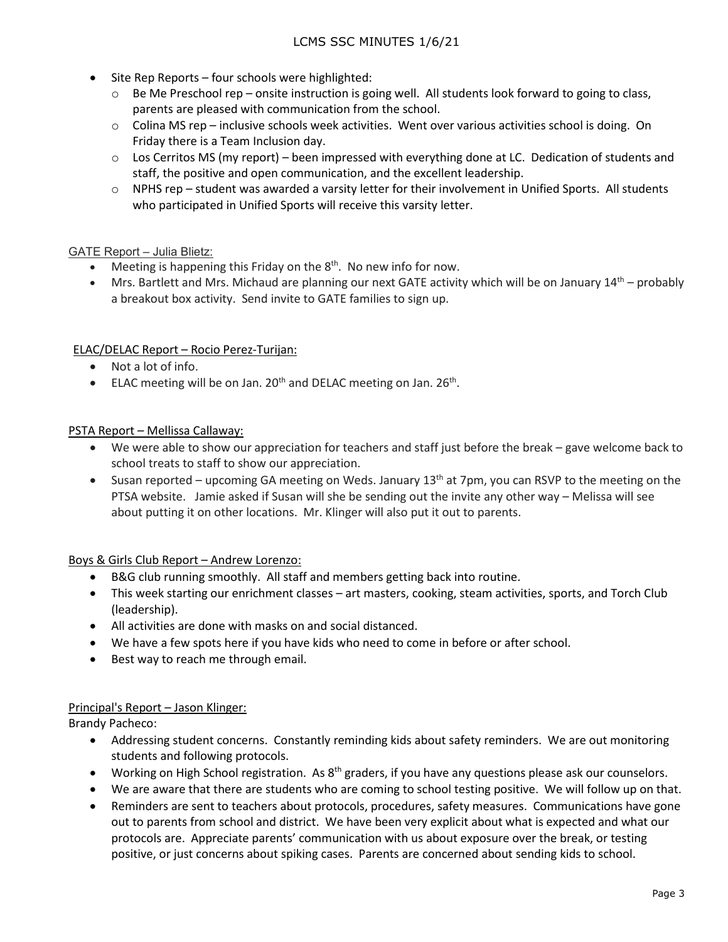- Site Rep Reports four schools were highlighted:
	- $\circ$  Be Me Preschool rep onsite instruction is going well. All students look forward to going to class, parents are pleased with communication from the school.
	- $\circ$  Colina MS rep inclusive schools week activities. Went over various activities school is doing. On Friday there is a Team Inclusion day.
	- $\circ$  Los Cerritos MS (my report) been impressed with everything done at LC. Dedication of students and staff, the positive and open communication, and the excellent leadership.
	- o NPHS rep student was awarded a varsity letter for their involvement in Unified Sports. All students who participated in Unified Sports will receive this varsity letter.

## GATE Report – Julia Blietz:

- Meeting is happening this Friday on the  $8<sup>th</sup>$ . No new info for now.
- Mrs. Bartlett and Mrs. Michaud are planning our next GATE activity which will be on January  $14<sup>th</sup>$  probably a breakout box activity. Send invite to GATE families to sign up.

## ELAC/DELAC Report – Rocio Perez-Turijan:

- Not a lot of info.
- ELAC meeting will be on Jan.  $20<sup>th</sup>$  and DELAC meeting on Jan.  $26<sup>th</sup>$ .

## PSTA Report – Mellissa Callaway:

- We were able to show our appreciation for teachers and staff just before the break gave welcome back to school treats to staff to show our appreciation.
- Susan reported upcoming GA meeting on Weds. January  $13<sup>th</sup>$  at 7pm, you can RSVP to the meeting on the PTSA website. Jamie asked if Susan will she be sending out the invite any other way – Melissa will see about putting it on other locations. Mr. Klinger will also put it out to parents.

## Boys & Girls Club Report – Andrew Lorenzo:

- B&G club running smoothly. All staff and members getting back into routine.
- This week starting our enrichment classes art masters, cooking, steam activities, sports, and Torch Club (leadership).
- All activities are done with masks on and social distanced.
- We have a few spots here if you have kids who need to come in before or after school.
- Best way to reach me through email.

## Principal's Report – Jason Klinger:

Brandy Pacheco:

- Addressing student concerns. Constantly reminding kids about safety reminders. We are out monitoring students and following protocols.
- Working on High School registration. As 8<sup>th</sup> graders, if you have any questions please ask our counselors.
- We are aware that there are students who are coming to school testing positive. We will follow up on that.
- Reminders are sent to teachers about protocols, procedures, safety measures. Communications have gone out to parents from school and district. We have been very explicit about what is expected and what our protocols are. Appreciate parents' communication with us about exposure over the break, or testing positive, or just concerns about spiking cases. Parents are concerned about sending kids to school.